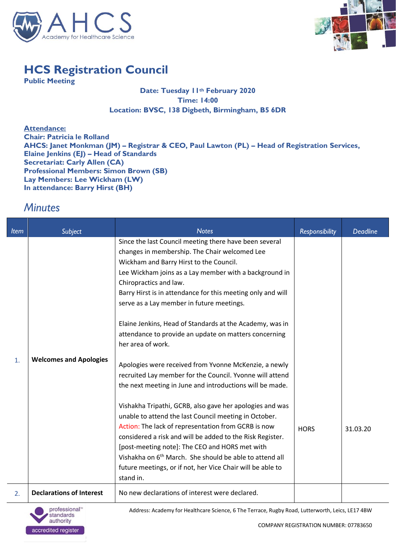



## **HCS Registration Council**

**Public Meeting**

## **Date: Tuesday 11th February 2020 Time: 14:00 Location: BVSC, 138 Digbeth, Birmingham, B5 6DR**

**Attendance: Chair: Patricia le Rolland AHCS: Janet Monkman (JM) – Registrar & CEO, Paul Lawton (PL) – Head of Registration Services, Elaine Jenkins (EJ) – Head of Standards Secretariat: Carly Allen (CA) Professional Members: Simon Brown (SB) Lay Members: Lee Wickham (LW) In attendance: Barry Hirst (BH)**

## *Minutes*

| <b>Item</b> | <b>Subject</b>                  | <b>Notes</b>                                                                                                                                                                                                                                                                                                                                                                                                                                                                                                                                                                                                                                                                                                                                                                                                                                                                                                                                                                                                                                                                                                               | <b>Responsibility</b> | <b>Deadline</b> |
|-------------|---------------------------------|----------------------------------------------------------------------------------------------------------------------------------------------------------------------------------------------------------------------------------------------------------------------------------------------------------------------------------------------------------------------------------------------------------------------------------------------------------------------------------------------------------------------------------------------------------------------------------------------------------------------------------------------------------------------------------------------------------------------------------------------------------------------------------------------------------------------------------------------------------------------------------------------------------------------------------------------------------------------------------------------------------------------------------------------------------------------------------------------------------------------------|-----------------------|-----------------|
| 1.          | <b>Welcomes and Apologies</b>   | Since the last Council meeting there have been several<br>changes in membership. The Chair welcomed Lee<br>Wickham and Barry Hirst to the Council.<br>Lee Wickham joins as a Lay member with a background in<br>Chiropractics and law.<br>Barry Hirst is in attendance for this meeting only and will<br>serve as a Lay member in future meetings.<br>Elaine Jenkins, Head of Standards at the Academy, was in<br>attendance to provide an update on matters concerning<br>her area of work.<br>Apologies were received from Yvonne McKenzie, a newly<br>recruited Lay member for the Council. Yvonne will attend<br>the next meeting in June and introductions will be made.<br>Vishakha Tripathi, GCRB, also gave her apologies and was<br>unable to attend the last Council meeting in October.<br>Action: The lack of representation from GCRB is now<br>considered a risk and will be added to the Risk Register.<br>[post-meeting note]: The CEO and HORS met with<br>Vishakha on 6 <sup>th</sup> March. She should be able to attend all<br>future meetings, or if not, her Vice Chair will be able to<br>stand in. | <b>HORS</b>           | 31.03.20        |
| 2.          | <b>Declarations of Interest</b> | No new declarations of interest were declared.                                                                                                                                                                                                                                                                                                                                                                                                                                                                                                                                                                                                                                                                                                                                                                                                                                                                                                                                                                                                                                                                             |                       |                 |

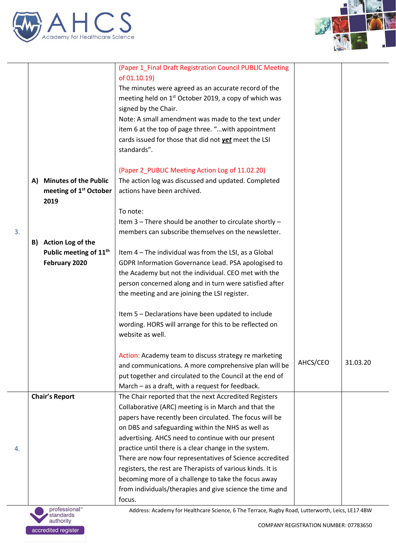



| 3. | A)<br>B) | <b>Minutes of the Public</b><br>meeting of 1 <sup>st</sup> October<br>2019<br>Action Log of the<br>Public meeting of 11 <sup>th</sup><br>February 2020 | (Paper 1_Final Draft Registration Council PUBLIC Meeting<br>of 01.10.19)<br>The minutes were agreed as an accurate record of the<br>meeting held on 1 <sup>st</sup> October 2019, a copy of which was<br>signed by the Chair.<br>Note: A small amendment was made to the text under<br>item 6 at the top of page three. " with appointment<br>cards issued for those that did not yet meet the LSI<br>standards".<br>(Paper 2_PUBLIC Meeting Action Log of 11.02.20)<br>The action log was discussed and updated. Completed<br>actions have been archived.<br>To note:<br>Item 3 - There should be another to circulate shortly -<br>members can subscribe themselves on the newsletter.<br>Item 4 - The individual was from the LSI, as a Global<br>GDPR Information Governance Lead. PSA apologised to<br>the Academy but not the individual. CEO met with the<br>person concerned along and in turn were satisfied after<br>the meeting and are joining the LSI register. |          |          |
|----|----------|--------------------------------------------------------------------------------------------------------------------------------------------------------|------------------------------------------------------------------------------------------------------------------------------------------------------------------------------------------------------------------------------------------------------------------------------------------------------------------------------------------------------------------------------------------------------------------------------------------------------------------------------------------------------------------------------------------------------------------------------------------------------------------------------------------------------------------------------------------------------------------------------------------------------------------------------------------------------------------------------------------------------------------------------------------------------------------------------------------------------------------------------|----------|----------|
|    |          |                                                                                                                                                        | Item 5 - Declarations have been updated to include<br>wording. HORS will arrange for this to be reflected on<br>website as well.                                                                                                                                                                                                                                                                                                                                                                                                                                                                                                                                                                                                                                                                                                                                                                                                                                             |          |          |
|    |          |                                                                                                                                                        |                                                                                                                                                                                                                                                                                                                                                                                                                                                                                                                                                                                                                                                                                                                                                                                                                                                                                                                                                                              |          |          |
|    |          |                                                                                                                                                        | Action: Academy team to discuss strategy re marketing<br>and communications. A more comprehensive plan will be<br>put together and circulated to the Council at the end of<br>March - as a draft, with a request for feedback.                                                                                                                                                                                                                                                                                                                                                                                                                                                                                                                                                                                                                                                                                                                                               | AHCS/CEO | 31.03.20 |
|    |          | <b>Chair's Report</b>                                                                                                                                  | The Chair reported that the next Accredited Registers                                                                                                                                                                                                                                                                                                                                                                                                                                                                                                                                                                                                                                                                                                                                                                                                                                                                                                                        |          |          |
| 4. |          |                                                                                                                                                        | Collaborative (ARC) meeting is in March and that the<br>papers have recently been circulated. The focus will be<br>on DBS and safeguarding within the NHS as well as<br>advertising. AHCS need to continue with our present<br>practice until there is a clear change in the system.                                                                                                                                                                                                                                                                                                                                                                                                                                                                                                                                                                                                                                                                                         |          |          |
|    |          |                                                                                                                                                        | There are now four representatives of Science accredited<br>registers, the rest are Therapists of various kinds. It is<br>becoming more of a challenge to take the focus away<br>from individuals/therapies and give science the time and<br>focus.                                                                                                                                                                                                                                                                                                                                                                                                                                                                                                                                                                                                                                                                                                                          |          |          |
|    |          |                                                                                                                                                        |                                                                                                                                                                                                                                                                                                                                                                                                                                                                                                                                                                                                                                                                                                                                                                                                                                                                                                                                                                              |          |          |

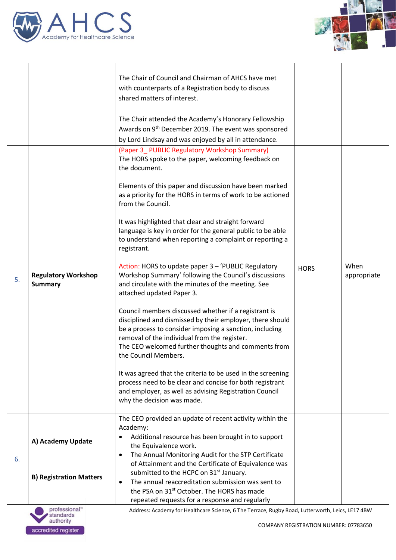



|    |                                              | The Chair of Council and Chairman of AHCS have met<br>with counterparts of a Registration body to discuss<br>shared matters of interest.                                                                                                                                                                    |             |                     |
|----|----------------------------------------------|-------------------------------------------------------------------------------------------------------------------------------------------------------------------------------------------------------------------------------------------------------------------------------------------------------------|-------------|---------------------|
|    |                                              | The Chair attended the Academy's Honorary Fellowship<br>Awards on 9 <sup>th</sup> December 2019. The event was sponsored<br>by Lord Lindsay and was enjoyed by all in attendance.                                                                                                                           |             |                     |
|    |                                              | (Paper 3 PUBLIC Regulatory Workshop Summary)<br>The HORS spoke to the paper, welcoming feedback on<br>the document.                                                                                                                                                                                         |             |                     |
|    |                                              | Elements of this paper and discussion have been marked<br>as a priority for the HORS in terms of work to be actioned<br>from the Council.                                                                                                                                                                   |             |                     |
|    |                                              | It was highlighted that clear and straight forward<br>language is key in order for the general public to be able<br>to understand when reporting a complaint or reporting a<br>registrant.                                                                                                                  |             |                     |
| 5. | <b>Regulatory Workshop</b><br><b>Summary</b> | Action: HORS to update paper 3 - 'PUBLIC Regulatory<br>Workshop Summary' following the Council's discussions<br>and circulate with the minutes of the meeting. See<br>attached updated Paper 3.                                                                                                             | <b>HORS</b> | When<br>appropriate |
|    |                                              | Council members discussed whether if a registrant is<br>disciplined and dismissed by their employer, there should<br>be a process to consider imposing a sanction, including<br>removal of the individual from the register.<br>The CEO welcomed further thoughts and comments from<br>the Council Members. |             |                     |
|    |                                              | It was agreed that the criteria to be used in the screening<br>process need to be clear and concise for both registrant<br>and employer, as well as advising Registration Council<br>why the decision was made.                                                                                             |             |                     |
|    | A) Academy Update                            | The CEO provided an update of recent activity within the<br>Academy:<br>Additional resource has been brought in to support<br>the Equivalence work.                                                                                                                                                         |             |                     |
| 6. | <b>B) Registration Matters</b>               | The Annual Monitoring Audit for the STP Certificate<br>$\bullet$<br>of Attainment and the Certificate of Equivalence was<br>submitted to the HCPC on 31 <sup>st</sup> January.<br>The annual reaccreditation submission was sent to<br>$\bullet$<br>the PSA on 31 <sup>st</sup> October. The HORS has made  |             |                     |
|    | professional™<br>standards                   | repeated requests for a response and regularly<br>Address: Academy for Healthcare Science, 6 The Terrace, Rugby Road, Lutterworth, Leics, LE17 4BW                                                                                                                                                          |             |                     |



 $\overline{a}$ 

 $\overline{\phantom{a}}$ 

COMPANY REGISTRATION NUMBER: 07783650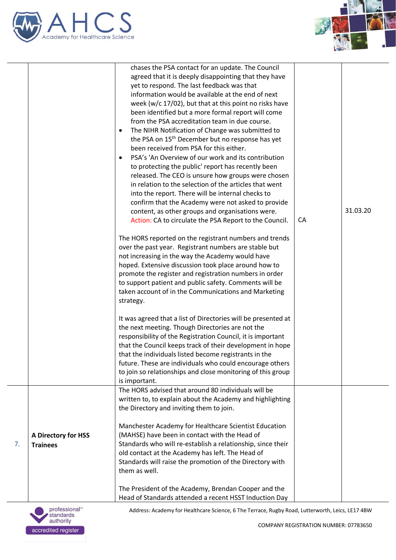



|    |                                        | chases the PSA contact for an update. The Council<br>agreed that it is deeply disappointing that they have<br>yet to respond. The last feedback was that<br>information would be available at the end of next<br>week (w/c 17/02), but that at this point no risks have<br>been identified but a more formal report will come<br>from the PSA accreditation team in due course.<br>The NIHR Notification of Change was submitted to<br>the PSA on 15 <sup>th</sup> December but no response has yet<br>been received from PSA for this either.<br>PSA's 'An Overview of our work and its contribution<br>to protecting the public' report has recently been<br>released. The CEO is unsure how groups were chosen<br>in relation to the selection of the articles that went<br>into the report. There will be internal checks to<br>confirm that the Academy were not asked to provide<br>content, as other groups and organisations were.<br>Action: CA to circulate the PSA Report to the Council.<br>The HORS reported on the registrant numbers and trends<br>over the past year. Registrant numbers are stable but<br>not increasing in the way the Academy would have<br>hoped. Extensive discussion took place around how to<br>promote the register and registration numbers in order<br>to support patient and public safety. Comments will be<br>taken account of in the Communications and Marketing<br>strategy. | CA | 31.03.20 |
|----|----------------------------------------|------------------------------------------------------------------------------------------------------------------------------------------------------------------------------------------------------------------------------------------------------------------------------------------------------------------------------------------------------------------------------------------------------------------------------------------------------------------------------------------------------------------------------------------------------------------------------------------------------------------------------------------------------------------------------------------------------------------------------------------------------------------------------------------------------------------------------------------------------------------------------------------------------------------------------------------------------------------------------------------------------------------------------------------------------------------------------------------------------------------------------------------------------------------------------------------------------------------------------------------------------------------------------------------------------------------------------------------------------------------------------------------------------------------------------|----|----------|
|    |                                        | It was agreed that a list of Directories will be presented at<br>the next meeting. Though Directories are not the<br>responsibility of the Registration Council, it is important<br>that the Council keeps track of their development in hope<br>that the individuals listed become registrants in the<br>future. These are individuals who could encourage others<br>to join so relationships and close monitoring of this group<br>is important.                                                                                                                                                                                                                                                                                                                                                                                                                                                                                                                                                                                                                                                                                                                                                                                                                                                                                                                                                                           |    |          |
| 7. | A Directory for HSS<br><b>Trainees</b> | The HORS advised that around 80 individuals will be<br>written to, to explain about the Academy and highlighting<br>the Directory and inviting them to join.<br>Manchester Academy for Healthcare Scientist Education<br>(MAHSE) have been in contact with the Head of<br>Standards who will re-establish a relationship, since their<br>old contact at the Academy has left. The Head of<br>Standards will raise the promotion of the Directory with<br>them as well.<br>The President of the Academy, Brendan Cooper and the                                                                                                                                                                                                                                                                                                                                                                                                                                                                                                                                                                                                                                                                                                                                                                                                                                                                                               |    |          |
|    |                                        | Head of Standards attended a recent HSST Induction Day                                                                                                                                                                                                                                                                                                                                                                                                                                                                                                                                                                                                                                                                                                                                                                                                                                                                                                                                                                                                                                                                                                                                                                                                                                                                                                                                                                       |    |          |
|    |                                        |                                                                                                                                                                                                                                                                                                                                                                                                                                                                                                                                                                                                                                                                                                                                                                                                                                                                                                                                                                                                                                                                                                                                                                                                                                                                                                                                                                                                                              |    |          |

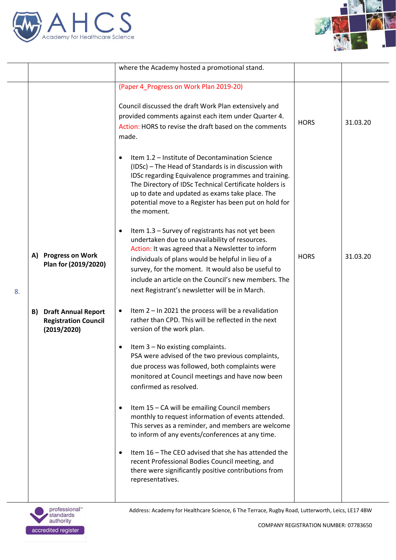



|    |                                                                                | where the Academy hosted a promotional stand.                                                                                                                                                                                                                                                                                                                                  |             |          |
|----|--------------------------------------------------------------------------------|--------------------------------------------------------------------------------------------------------------------------------------------------------------------------------------------------------------------------------------------------------------------------------------------------------------------------------------------------------------------------------|-------------|----------|
|    |                                                                                |                                                                                                                                                                                                                                                                                                                                                                                |             |          |
|    |                                                                                | (Paper 4_Progress on Work Plan 2019-20)<br>Council discussed the draft Work Plan extensively and<br>provided comments against each item under Quarter 4.<br>Action: HORS to revise the draft based on the comments<br>made.                                                                                                                                                    | <b>HORS</b> | 31.03.20 |
|    |                                                                                | Item 1.2 - Institute of Decontamination Science<br>$\bullet$<br>(IDSc) - The Head of Standards is in discussion with<br>IDSc regarding Equivalence programmes and training.<br>The Directory of IDSc Technical Certificate holders is<br>up to date and updated as exams take place. The<br>potential move to a Register has been put on hold for<br>the moment.               |             |          |
| 8. | <b>Progress on Work</b><br>A)<br>Plan for (2019/2020)                          | Item 1.3 - Survey of registrants has not yet been<br>undertaken due to unavailability of resources.<br>Action: It was agreed that a Newsletter to inform<br>individuals of plans would be helpful in lieu of a<br>survey, for the moment. It would also be useful to<br>include an article on the Council's new members. The<br>next Registrant's newsletter will be in March. | <b>HORS</b> | 31.03.20 |
|    | <b>Draft Annual Report</b><br>B)<br><b>Registration Council</b><br>(2019/2020) | Item 2 - In 2021 the process will be a revalidation<br>$\bullet$<br>rather than CPD. This will be reflected in the next<br>version of the work plan.                                                                                                                                                                                                                           |             |          |
|    |                                                                                | Item 3 - No existing complaints.<br>PSA were advised of the two previous complaints,<br>due process was followed, both complaints were<br>monitored at Council meetings and have now been<br>confirmed as resolved.                                                                                                                                                            |             |          |
|    |                                                                                | Item 15 - CA will be emailing Council members<br>$\bullet$<br>monthly to request information of events attended.<br>This serves as a reminder, and members are welcome<br>to inform of any events/conferences at any time.                                                                                                                                                     |             |          |
|    |                                                                                | Item 16 - The CEO advised that she has attended the<br>$\bullet$<br>recent Professional Bodies Council meeting, and<br>there were significantly positive contributions from<br>representatives.                                                                                                                                                                                |             |          |
|    |                                                                                |                                                                                                                                                                                                                                                                                                                                                                                |             |          |

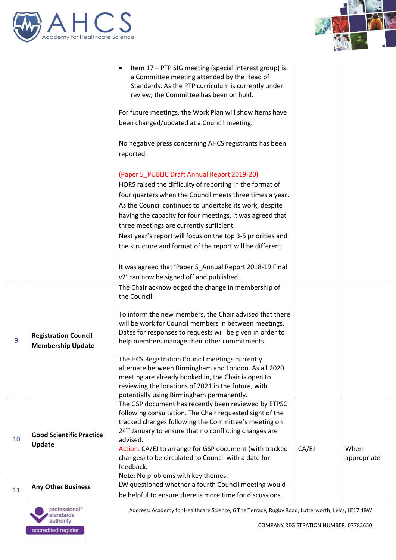



|     |                                                         | Item 17 - PTP SIG meeting (special interest group) is<br>a Committee meeting attended by the Head of<br>Standards. As the PTP curriculum is currently under<br>review, the Committee has been on hold.                                                             |       |                     |
|-----|---------------------------------------------------------|--------------------------------------------------------------------------------------------------------------------------------------------------------------------------------------------------------------------------------------------------------------------|-------|---------------------|
|     |                                                         | For future meetings, the Work Plan will show items have                                                                                                                                                                                                            |       |                     |
|     |                                                         | been changed/updated at a Council meeting.                                                                                                                                                                                                                         |       |                     |
|     |                                                         | No negative press concerning AHCS registrants has been<br>reported.                                                                                                                                                                                                |       |                     |
|     |                                                         | (Paper 5_PUBLIC Draft Annual Report 2019-20)<br>HORS raised the difficulty of reporting in the format of                                                                                                                                                           |       |                     |
|     |                                                         | four quarters when the Council meets three times a year.                                                                                                                                                                                                           |       |                     |
|     |                                                         | As the Council continues to undertake its work, despite                                                                                                                                                                                                            |       |                     |
|     |                                                         | having the capacity for four meetings, it was agreed that<br>three meetings are currently sufficient.                                                                                                                                                              |       |                     |
|     |                                                         | Next year's report will focus on the top 3-5 priorities and                                                                                                                                                                                                        |       |                     |
|     |                                                         | the structure and format of the report will be different.                                                                                                                                                                                                          |       |                     |
|     |                                                         |                                                                                                                                                                                                                                                                    |       |                     |
|     |                                                         | It was agreed that 'Paper 5_Annual Report 2018-19 Final                                                                                                                                                                                                            |       |                     |
|     |                                                         | v2' can now be signed off and published.                                                                                                                                                                                                                           |       |                     |
|     |                                                         | The Chair acknowledged the change in membership of<br>the Council.                                                                                                                                                                                                 |       |                     |
| 9.  | <b>Registration Council</b><br><b>Membership Update</b> | To inform the new members, the Chair advised that there<br>will be work for Council members in between meetings.<br>Dates for responses to requests will be given in order to<br>help members manage their other commitments.                                      |       |                     |
|     |                                                         | The HCS Registration Council meetings currently<br>alternate between Birmingham and London. As all 2020<br>meeting are already booked in, the Chair is open to<br>reviewing the locations of 2021 in the future, with<br>potentially using Birmingham permanently. |       |                     |
| 10. | <b>Good Scientific Practice</b>                         | The GSP document has recently been reviewed by ETPSC<br>following consultation. The Chair requested sight of the<br>tracked changes following the Committee's meeting on<br>24 <sup>th</sup> January to ensure that no conflicting changes are<br>advised.         |       |                     |
|     | Update                                                  | Action: CA/EJ to arrange for GSP document (with tracked<br>changes) to be circulated to Council with a date for<br>feedback.                                                                                                                                       | CA/EJ | When<br>appropriate |
|     |                                                         | Note: No problems with key themes.                                                                                                                                                                                                                                 |       |                     |
| 11. | <b>Any Other Business</b>                               | LW questioned whether a fourth Council meeting would                                                                                                                                                                                                               |       |                     |
|     |                                                         | be helpful to ensure there is more time for discussions.                                                                                                                                                                                                           |       |                     |